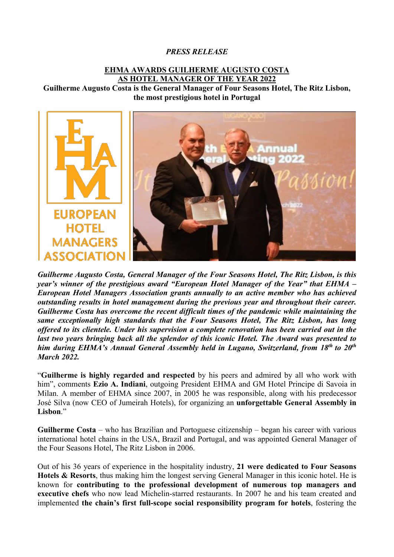## *PRESS RELEASE*

## **EHMA AWARDS GUILHERME AUGUSTO COSTA AS HOTEL MANAGER OF THE YEAR 2022**

**Guilherme Augusto Costa is the General Manager of Four Seasons Hotel, The Ritz Lisbon, the most prestigious hotel in Portugal**



*Guilherme Augusto Costa, General Manager of the Four Seasons Hotel, The Ritz Lisbon, is this year's winner of the prestigious award "European Hotel Manager of the Year" that EHMA – European Hotel Managers Association grants annually to an active member who has achieved outstanding results in hotel management during the previous year and throughout their career. Guilherme Costa has overcome the recent difficult times of the pandemic while maintaining the same exceptionally high standards that the Four Seasons Hotel, The Ritz Lisbon, has long offered to its clientele. Under his supervision a complete renovation has been carried out in the last two years bringing back all the splendor of this iconic Hotel. The Award was presented to him during EHMA's Annual General Assembly held in Lugano, Switzerland, from 18th to 20th March 2022.* 

"**Guilherme is highly regarded and respected** by his peers and admired by all who work with him", comments **Ezio A. Indiani**, outgoing President EHMA and GM Hotel Principe di Savoia in Milan. A member of EHMA since 2007, in 2005 he was responsible, along with his predecessor José Silva (now CEO of Jumeirah Hotels), for organizing an **unforgettable General Assembly in Lisbon**."

**Guilherme Costa** – who has Brazilian and Portoguese citizenship – began his career with various international hotel chains in the USA, Brazil and Portugal, and was appointed General Manager of the Four Seasons Hotel, The Ritz Lisbon in 2006.

Out of his 36 years of experience in the hospitality industry, **21 were dedicated to Four Seasons Hotels & Resorts**, thus making him the longest serving General Manager in this iconic hotel. He is known for **contributing to the professional development of numerous top managers and executive chefs** who now lead Michelin-starred restaurants. In 2007 he and his team created and implemented **the chain's first full-scope social responsibility program for hotels**, fostering the